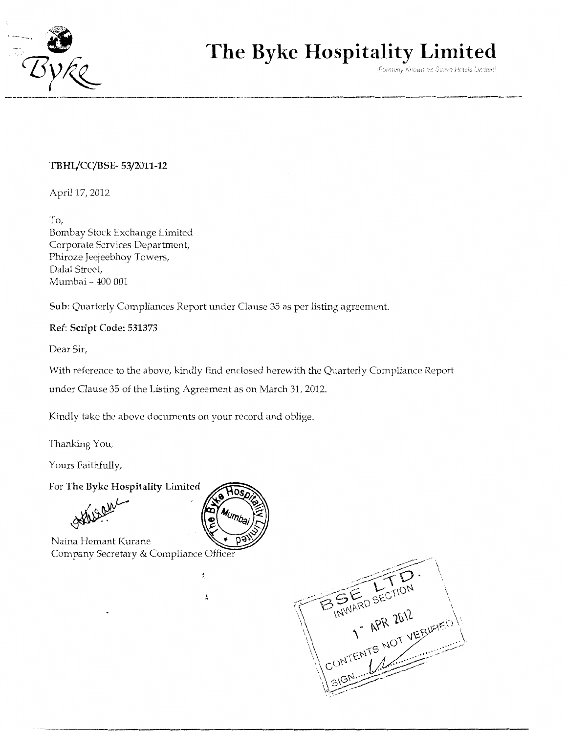

# **The Byke Hospitality Limited**

(Formerly Known as Suave Hotels United)

# **TBHl/CC/BSE- 53/2011-12**

April 17, 2012

To, Bombay Stock Exchange Limited Corporate Services Department, Phiroze Jeejeebhoy Towers, Dalal Street, Mumbai- 400 001

**Sub:** Quarterly Compliances Report under Clause 35 as per listing agreement.

## **Ref: Script Code: 531373**

Dear Sir,

With reference to the above, kindly find enclosed herewith the Quarterly Compliance Report under Clause 35 of the Listing Agreement as on March 31, 2012.

Kindly take the above documents on your record and oblige.

Thanking You,

Yours Faithfully,

For **The Byke Hospitality Limited** 

Naina Hemant Kurane Company Secretary & Compliance Officer



 $\ddot{ }$ 

ţ,

B. S. FRO SECTION .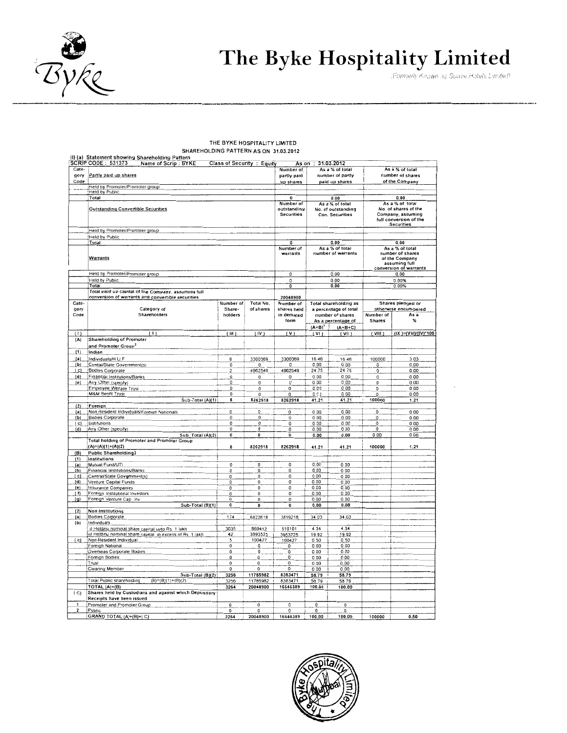

# The Byke Hospitality Limited

#### THE BYKE HOSPITALITY LIMITED SHAREHOLDING PATTERN AS ON 31.03.2012

| Cate-                      |                                                                                      |                                | <b>Class of Security : Equity</b> | Number of                                          |                | As a % of total                                                    |                | As a % of total                                                                                             |
|----------------------------|--------------------------------------------------------------------------------------|--------------------------------|-----------------------------------|----------------------------------------------------|----------------|--------------------------------------------------------------------|----------------|-------------------------------------------------------------------------------------------------------------|
| gory                       | Partly paid up shares                                                                |                                |                                   | partly paid                                        |                | number of partly                                                   |                | number of shares                                                                                            |
| Code                       | Held by Promoter/Promoter group                                                      |                                |                                   | up shares                                          |                | paid up shares                                                     |                | of the Company                                                                                              |
|                            | Held by Public                                                                       |                                |                                   |                                                    |                |                                                                    |                |                                                                                                             |
|                            | Total                                                                                |                                |                                   | $\bf{0}$                                           |                | 0.00                                                               |                | 0.00                                                                                                        |
|                            | <b>Outstanding Convertible Securities</b>                                            |                                |                                   | Number of<br>outstandiny<br><b>Securities</b>      |                | As a % of total<br>No. of outstanding<br>Con. Securities           |                | As a % of total<br>No. of shares of the<br>Company, assuming<br>full conversion of the<br><b>Securities</b> |
|                            | Held by Promoter/Promoter group                                                      |                                |                                   |                                                    |                |                                                                    |                |                                                                                                             |
|                            | Held by Public                                                                       |                                |                                   |                                                    |                |                                                                    |                |                                                                                                             |
|                            | Total                                                                                |                                |                                   | 0<br>Number of                                     |                | 0.00<br>As a % of total                                            |                | 0.00<br>As a % of total                                                                                     |
|                            | Warrants                                                                             |                                |                                   | warrants                                           |                | number of warrants                                                 |                | number of shares<br>of the Company<br>assuming full<br>conversion of warrants                               |
|                            | Held by Promoter/Promoter group                                                      |                                |                                   | 0                                                  |                | 0.00                                                               |                | 0.00                                                                                                        |
|                            | Held by Public                                                                       |                                |                                   | 0<br>$\overline{0}$                                |                | 0.00                                                               |                | 0.00%                                                                                                       |
|                            | Total<br>Total paid up capital of the Company, assuming full                         |                                |                                   |                                                    |                | 0.00                                                               |                | 0.00%                                                                                                       |
| Cate-<br>gory<br>Code      | conversion of warrants and convertible securities<br>Category of<br>Shareholders     | Number of<br>Share-<br>holders | Total No.<br>of shares            | 20048900<br>Number of<br>shares held<br>in demated |                | Total shareholding as<br>a percentage of total<br>number of shares | Number of      | Shares pledged or<br>otherwise encumbered<br>As a                                                           |
|                            |                                                                                      |                                |                                   | form                                               | $(A+B)^{1}$    | As a percentage of<br>$(A+B+C)$                                    | <b>Shares</b>  | ፟ጜ                                                                                                          |
| $^{(1)}$                   | (11)                                                                                 | (III)                          | (IV)                              | (V)                                                | (VI)           | $($ VII $)$                                                        | (VIII)         | (IX)=(VIII)/(IV)*100                                                                                        |
| (A)                        | <b>Shareholding of Promoter</b>                                                      |                                |                                   |                                                    |                |                                                                    |                |                                                                                                             |
|                            | and Promoter Group <sup>2</sup>                                                      |                                |                                   |                                                    |                |                                                                    |                |                                                                                                             |
| (1)                        | Indian                                                                               |                                |                                   |                                                    |                |                                                                    |                |                                                                                                             |
| (a)                        | Individuals/H.U.F                                                                    | 6                              | 3300369                           | 3300369                                            | 16.46          | 16.46                                                              | 100000         | 3.03                                                                                                        |
| (b)<br>$\lbrack c \rbrack$ | Centai/State Government(s)<br>Bodies Corporate                                       | 0<br>$\overline{\mathbf{c}}$   | 0<br>4962549                      | O<br>4962549                                       | 0.00<br>24.75  | 0.00<br>24.75                                                      | 0<br>0         | 0.00<br>0.00                                                                                                |
| (d)                        | Financial Institutions/Banks                                                         | 0                              | 0                                 | 0                                                  | 0.00           | 0.00                                                               | o              | 0.00                                                                                                        |
| [e]                        | Any Other (specity)                                                                  | 0                              | o                                 | O                                                  | 0.00           | 0.00                                                               | 0              | 0.00                                                                                                        |
|                            | Employee Welfare Trust                                                               | 0                              | 0                                 | 0                                                  | 0.09           | 0.00                                                               | o              | 0.00                                                                                                        |
|                            | <b>M&amp;M Benfit Trust</b>                                                          | 0                              | 0                                 | 0                                                  | 0.03           | 0.00                                                               | 0              | 000                                                                                                         |
|                            | Sub-Total (A)(1)                                                                     | 8                              | 8262918                           | 8262918                                            | 41.21          | 41.21                                                              | 100000         | 1.21                                                                                                        |
| (2)<br>$\left( a\right)$   | Foreign<br>Non Resident Individuals/Foreign Nationals                                | 0                              | 0                                 | 0                                                  | 0.00           | 0.00                                                               | o              | 0.00                                                                                                        |
| (b)                        | <b>Bodies Corporate</b>                                                              | $\mathbf 0$                    | $\overline{0}$                    | $\bf 0$                                            | 0.00           | 0.00                                                               | $\overline{0}$ | 0,00                                                                                                        |
| ( c)                       | Institutions                                                                         | 0                              | $\mathbf 0$                       | o                                                  | 0.00           | 0.00                                                               | $\Omega$       | 0.00                                                                                                        |
| (d)                        | Any Other (specify)                                                                  | $\Omega$                       | $\mathbf 0$                       | 0                                                  | 0.00           | 000                                                                | 0              | 0.00                                                                                                        |
|                            | Sub_Total (A)(2)                                                                     | 0                              | ٥                                 | 0                                                  | 0.00           | 0.00                                                               | 0.00           | 0.00                                                                                                        |
|                            | Total holding of Promoter and Promoter Group<br>$(A)=(A)(1)+(A)(2)$                  | 8                              | 8262918                           | 8262918                                            | 41.21          | 41.21                                                              | 100000         | 1.21                                                                                                        |
| (B)                        | <b>Public Shareholding3</b>                                                          |                                |                                   |                                                    |                |                                                                    |                |                                                                                                             |
| <u>(1)</u>                 | institutions                                                                         |                                |                                   |                                                    |                |                                                                    |                |                                                                                                             |
| $\langle a \rangle$<br>(b) | Mutual Fund/UTI<br>Financial Institutions/Banks                                      | 0<br>0                         | $\circ$<br>0                      | $\overline{0}$<br>0                                | 0.00<br>000    | 0.00<br>0.00                                                       |                |                                                                                                             |
| (c)                        | Central/State Government(s)                                                          | 0                              | 0                                 | 0                                                  | 0.00           | 0.00                                                               |                |                                                                                                             |
| (d)                        | Venture Capital Funds                                                                | 0                              | 0                                 | $\overline{0}$                                     | 0.00           | 0.00                                                               |                |                                                                                                             |
| (e)                        | Insurance Companies                                                                  | 0                              | 0                                 | 0                                                  | 0.00           | 0.00                                                               |                |                                                                                                             |
| $\mathfrak{g}$             | Foreign Institutional Investors<br>Foreign Venture Cap Inv                           | 0<br>0                         | 0<br>0                            | 0<br>0                                             | 0.00<br>0.00   | 0.00<br>0.00                                                       |                |                                                                                                             |
| $\mathbf{q}$               | Sub-Total (B)(1)                                                                     | 0                              | 0                                 | 0                                                  | 0.00           | 0.00                                                               |                |                                                                                                             |
| (2)                        | Non Institutions                                                                     |                                |                                   |                                                    |                |                                                                    |                |                                                                                                             |
| (a)                        | <b>Bodies Corporate</b>                                                              | 174                            | 6822618                           | 3819218                                            | 34.03          | 34.03                                                              |                |                                                                                                             |
| (b)                        | Individuals                                                                          |                                |                                   |                                                    |                |                                                                    |                |                                                                                                             |
|                            | i) Holding nominal share capital upto Rs 1 lakh                                      | 3035                           | 869412                            | 510101                                             | 4.34           | 4.34                                                               |                |                                                                                                             |
| $\{c\}$                    | ii) Holding nominal share capital in excess of Rs. 1 lakh<br>Non-Resident Individual | 42<br>5                        | 3993525<br>100427                 | 3953725<br>100427                                  | 19.92<br>0.50  | 19.92<br>0.50                                                      |                |                                                                                                             |
|                            | Foreigh National                                                                     | 0                              | o                                 | 0                                                  | 0.00           | 0.00                                                               |                |                                                                                                             |
|                            | Overseas Corporate Bodies                                                            | O                              | 0                                 | 0                                                  | 0.00           | 0.00                                                               |                |                                                                                                             |
|                            | Foreign Bodies                                                                       | 0                              | 0.                                | 0                                                  | 0.00           | 0.00                                                               |                |                                                                                                             |
|                            | Trust                                                                                | 0                              | o                                 | 0                                                  | 0.00           | 0.00                                                               |                |                                                                                                             |
|                            | Clearing Member<br>Sub-Total (B)(2)                                                  | 0<br>3256                      | 0<br>11785982                     | 0<br>8383471                                       | 0.00<br>58.79  | 0.00<br>58.79                                                      |                |                                                                                                             |
|                            | Total Public shareholding<br>$(B)=(B)(1)+(B)(2)$                                     | 3256                           | 11785982                          | 8383471                                            | 58.79          | 58.79                                                              |                |                                                                                                             |
|                            | TOTAL $(A)+(B)$                                                                      | 3264                           | 20048900                          | 16646389                                           | 100.00         | 100.00                                                             |                |                                                                                                             |
| (C)                        | Shares held by Custodians and against which Depository<br>Receipts have been issued  |                                |                                   |                                                    |                |                                                                    |                |                                                                                                             |
| $\mathbf{1}$               | Promoter and Promoter Group                                                          | $\mathbf 0$                    | $\Omega$                          | 0                                                  | $\overline{0}$ | 0                                                                  |                |                                                                                                             |
| 2                          | Public<br>GRAND TOTAL (A)+(B)+(C)                                                    | 0<br>3264                      | 0<br>20048900                     | 0<br>16646389                                      | 0<br>100.00    | 0<br>100.00                                                        | 100000         | 0.50                                                                                                        |
|                            |                                                                                      |                                |                                   | $\sim$                                             |                |                                                                    |                |                                                                                                             |

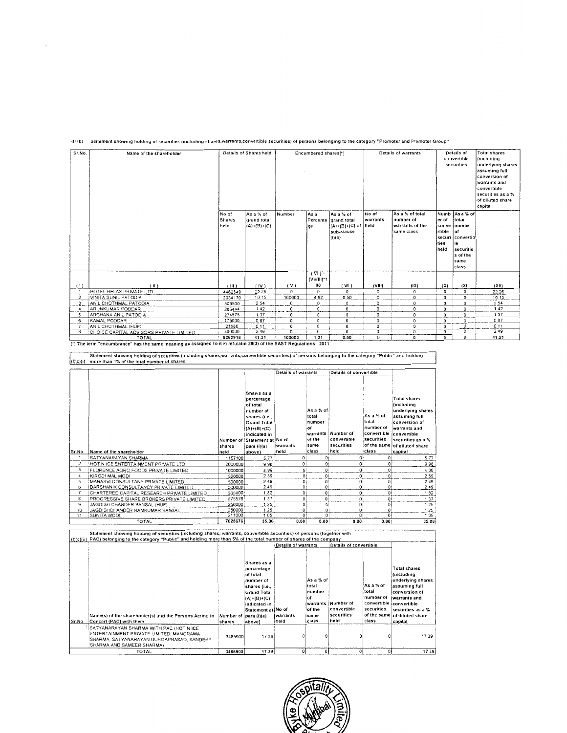| Sr.No.        | Name of the shareholder                                  |                                | Details of Shares held                    |                      | Encumbered shares(*)                                   |                                                                                 |                           | Details of warrants                                           |                                      | Details of<br>convertible<br>securities                                                                          | <b>Total shares</b><br><i><b>including</b></i><br>underlying shares<br>assuming full<br>conversion of<br>warrants and<br>convertible<br>securities as a %<br>of diluted share<br>capital |
|---------------|----------------------------------------------------------|--------------------------------|-------------------------------------------|----------------------|--------------------------------------------------------|---------------------------------------------------------------------------------|---------------------------|---------------------------------------------------------------|--------------------------------------|------------------------------------------------------------------------------------------------------------------|------------------------------------------------------------------------------------------------------------------------------------------------------------------------------------------|
|               |                                                          | No of<br><b>Shares</b><br>held | As a % of<br>grand total<br>$(A)+(B)+(C)$ | Number               | As a<br>ge                                             | As a % of<br>Percenta   grand total<br>$(A)+(B)+(C)$ of<br>sub-clause<br>(1)(a) | No of<br>warrants<br>held | As a % of total<br>number of<br>warrants of the<br>same class | ler of<br>rtible of<br>Ities<br>held | Numb   As a % of<br>total<br>conve inumber<br>securi   convertib<br>le<br>securitie<br>s of the<br>same<br>class |                                                                                                                                                                                          |
|               |                                                          |                                |                                           |                      | $(\overline{V} \mid \overline{V})$ =<br>$(V)/(III)^*1$ |                                                                                 |                           |                                                               |                                      |                                                                                                                  |                                                                                                                                                                                          |
| $\cdots$      | (H)                                                      | (III)                          | (IV)                                      | (V)                  | 00                                                     | V                                                                               | (VIII)                    | (1X)<br>$\Omega$                                              | (X)<br>0                             | (XI)<br>$\mathbf 0$                                                                                              | (XH)<br>22.26                                                                                                                                                                            |
| $\mathcal{D}$ | :HOTEL RELAX PRIVATE LTD<br><b>IVINITA SUNIL PATODIA</b> | 4462549<br>2034170             | 22.26<br>10 15                            | $^{\circ}$<br>100000 | 0<br>4.92                                              | 0<br>0.50                                                                       | O<br>$\circ$              | 0                                                             | $\Omega$                             | $\mathbf 0$                                                                                                      | 10 15                                                                                                                                                                                    |
|               | <b>ANIL CHOTHMAL PATODIA</b>                             | 509500                         | 2 5 4                                     | 0                    | 0                                                      | 0                                                                               | 0                         | 0                                                             | 0                                    | $\overline{0}$                                                                                                   | 2.54                                                                                                                                                                                     |
|               | ARUNKUMAR PODDAR                                         | 285444                         | 142                                       | 0                    | 0                                                      | 0                                                                               | 0                         | $\Omega$                                                      | 0                                    | $\circ$                                                                                                          | 1.42                                                                                                                                                                                     |
|               | ARCHANA ANIL PATODIA                                     | 274575                         | 1.37                                      | 0                    | $^{\circ}$                                             | 0                                                                               | $\mathbf 0$               | 0                                                             | $\Omega$                             | $\overline{0}$                                                                                                   | 1.37                                                                                                                                                                                     |
| 6             | <b>IKAMAL PODDAR</b>                                     | 175000                         | 0.87                                      | 0                    | $\circ$                                                | 0                                                                               | 0                         | 0                                                             | $\mathbf 0$                          | $^{\circ}$                                                                                                       | 0.87                                                                                                                                                                                     |
|               | ANIL CHOTHMAL (HUF)                                      | 21680                          | 0.11                                      | 0                    | 0                                                      | 0                                                                               | 0                         | 0                                                             | 0                                    | 0                                                                                                                | 0.11                                                                                                                                                                                     |
| 8             | CHOICE CAPITAL ADVISORS PRIVATE LIMITED                  | 500000                         | 2.49                                      | $\Omega$             | 0                                                      | 0                                                                               | 0                         | 0                                                             | 0                                    | $\Omega$                                                                                                         | 2.49                                                                                                                                                                                     |
|               | <b>TOTAL</b>                                             | 8262918                        | 41.21                                     | 100000               | 1.21                                                   | 0.50                                                                            | 0                         | 0                                                             | U.                                   | $\Omega$                                                                                                         | 41.21                                                                                                                                                                                    |

### (I) (b) Statement showing holding of securities (including shares,warrants,convertible securities) of persons belonging to the category "Promoter and Promoter Group"

(\*) The term "encumbrance" has the same meaning as assigned to it in refulatin 28(3) of the SAST Regulations, 2011

Statement showing holding of securities (including shares,warrants,convertible securities) of persons belonging to the category "Public" and holding<br>(I)(C)(i) more than 1% of the total number of shares.

|                |                                            |         |                                     | Details of warrants |                | Details of convertible |             |                              |
|----------------|--------------------------------------------|---------|-------------------------------------|---------------------|----------------|------------------------|-------------|------------------------------|
|                |                                            |         |                                     |                     |                |                        |             |                              |
|                |                                            |         |                                     |                     |                |                        |             |                              |
|                |                                            |         | Shares as a                         |                     |                |                        |             |                              |
|                |                                            |         | percentage                          |                     |                |                        |             | <b>Total shares</b>          |
|                |                                            |         | of total                            |                     |                |                        |             | fincluding                   |
|                |                                            |         | number of                           |                     | As a % of      |                        |             | underlying shares            |
|                |                                            |         |                                     |                     | total          |                        | As a % of   | assuming full                |
|                |                                            |         | shares (i.e.,<br><b>Grand Total</b> |                     | number         |                        | total       | conversion of                |
|                |                                            |         |                                     |                     | iof            |                        | number of   | warrants and                 |
|                |                                            |         | $(A)+(B)+(C)$                       |                     | warrants       | Number of              | convertible | convertible                  |
|                |                                            |         | indicated in                        |                     | of the         | convertible            | securities  |                              |
|                |                                            |         | Number of Statement at No of        |                     |                |                        |             | securities as a %            |
|                |                                            | shares  | para (l)(a)                         | lwarrants           | same           | securities             |             | of the same of diluted share |
| Sr.No.         | Name of the shareholder                    | held    | above)                              | held                | class          | held                   | class       | capital                      |
|                | SATYANARAYAN SHARMA                        | 1157100 | 5.77                                |                     | 01             |                        |             | 5.77                         |
| 2              | HOT N ICE ENTERTAINMENT PRIVATE LTD        | 2000000 | 9.98                                | o                   | 0 <sub>1</sub> | o                      | $\Omega$    | 998                          |
| 3              | FLORENCE AGRO FOODS PRIVATE LIMITED        | 1000000 | 4.99                                | ٥١                  | $\Omega$       |                        |             | 4.99                         |
| 4              | KIRODI MAL MODI                            | 520000  | 2.59                                | 01                  | ٥              | 0                      |             | 2.59                         |
| 5              | MANASVI CONSULTANY PRIVATE LIMITED         | 500000  | 2.49                                | O                   | $\Omega$       | 0                      |             | 2.49                         |
| 6              | DARSHANIK CONSULTANCY PRIVATE LIMITED      | 500000  | 2.49                                | O.                  | $\Omega$       | O.                     | n.          | 2.49                         |
| $\overline{7}$ | CHARTERED CAPITAL RESEARCH PRIVATE LIMITED | 365000  | 1.82                                | $\Omega$            | 0              | $^{\circ}$             | o           | 1.82                         |
| 8              | PROGRESSIVE SHARE BROKERS PRIVATE LIMITED  | 275576  | 1 37                                |                     | 0              | o                      | o           | 1.37                         |
|                |                                            |         |                                     |                     |                |                        |             |                              |
| 9              | JAGDISH CHANDER BANSAL (HUF)               | 250000  | 1.25                                |                     | 0              | o.                     | Ω           | 1.25                         |
| 10             | JAGDISHCHANDER RAMKUMAR BANSAL             | 250000  | 1.25                                |                     | 0              | $\Omega$               | $\Omega$    | 1.25                         |
| 11             | SUNITA MODI                                | 211000  | 105                                 |                     | $\Omega$       | $\Omega$               |             | 1.05                         |

| Statement showing holding of securities (including shares, warrants, convertible securities) of persons (together with    |                       |                    |                     |           |                        |            |                              |
|---------------------------------------------------------------------------------------------------------------------------|-----------------------|--------------------|---------------------|-----------|------------------------|------------|------------------------------|
| [{!)(c)(ii) PAC) belonging to the category "Public" and holding more than 5% of the total number of shares of the company |                       |                    |                     |           |                        |            |                              |
|                                                                                                                           |                       |                    | Details of warrants |           | Details of convertible |            |                              |
|                                                                                                                           |                       |                    |                     |           |                        |            |                              |
|                                                                                                                           |                       |                    |                     |           |                        |            |                              |
|                                                                                                                           |                       | Shares as a        |                     |           |                        |            |                              |
|                                                                                                                           |                       | percentage         |                     |           |                        |            | <b>Total shares</b>          |
|                                                                                                                           |                       | of total           |                     |           |                        |            | (including                   |
|                                                                                                                           |                       | number of          |                     | As a % of |                        |            | underlying shares            |
|                                                                                                                           |                       | shares (i.e.,      |                     | total     |                        | As a % of  | assuming full                |
|                                                                                                                           |                       |                    |                     | number    |                        | total      | conversion of                |
|                                                                                                                           |                       | <b>Grand Total</b> |                     | of        |                        | number of  |                              |
|                                                                                                                           |                       | $(A)+(B)+(C)$      |                     |           |                        |            | warrants and                 |
|                                                                                                                           |                       | indicated in       |                     |           | warrants   Number of   |            | convertible convertible      |
|                                                                                                                           |                       | Statement at No of |                     | of the    | convertible            | securities | securities as a %            |
| Name(s) of the shareholder(s) and the Persons Acting in                                                                   | Number of para (I)(a) |                    | Iwarrants           | same      | securities             |            | of the same of diluted share |
| Sr.No. Concert (PAC) with them                                                                                            | shares                | above}             | held                | class     | held                   | class      | capital                      |
| SATYANARAYAN SHARMA WITH PAC (HOT N ICE                                                                                   |                       |                    |                     |           |                        |            |                              |
| ENTERTAINMENT PRIVATE LIMITED. MANORAMA                                                                                   |                       |                    |                     | 0         |                        |            | 17.39                        |
| SHARMA. SATYANARAYAN DURGAPRASAD. SANDEEP                                                                                 | 3485900               | 17.39              |                     |           |                        |            |                              |
| SHARMA AND SAMEER SHARMA)                                                                                                 |                       |                    |                     |           |                        |            |                              |
| <b>TOTAL</b>                                                                                                              | 3485900               | 17.39              |                     | ٥         |                        |            | 1739                         |